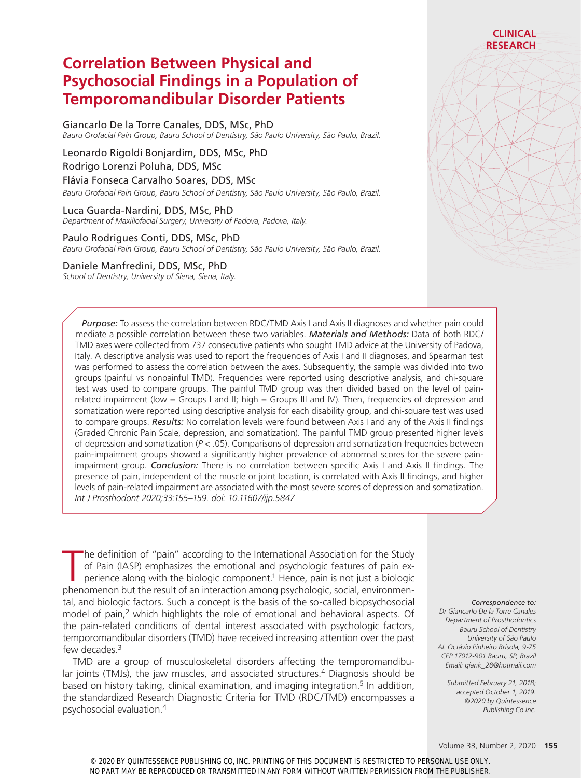# **Correlation Between Physical and Psychosocial Findings in a Population of Temporomandibular Disorder Patients**

Giancarlo De la Torre Canales, DDS, MSc, PhD *Bauru Orofacial Pain Group, Bauru School of Dentistry, São Paulo University, São Paulo, Brazil.*

Leonardo Rigoldi Bonjardim, DDS, MSc, PhD Rodrigo Lorenzi Poluha, DDS, MSc

Flávia Fonseca Carvalho Soares, DDS, MSc *Bauru Orofacial Pain Group, Bauru School of Dentistry, São Paulo University, São Paulo, Brazil.*

Luca Guarda-Nardini, DDS, MSc, PhD *Department of Maxillofacial Surgery, University of Padova, Padova, Italy.*

Paulo Rodrigues Conti, DDS, MSc, PhD *Bauru Orofacial Pain Group, Bauru School of Dentistry, São Paulo University, São Paulo, Brazil.*

# Daniele Manfredini, DDS, MSc, PhD

*School of Dentistry, University of Siena, Siena, Italy.*

*Purpose:* To assess the correlation between RDC/TMD Axis I and Axis II diagnoses and whether pain could mediate a possible correlation between these two variables. *Materials and Methods:* Data of both RDC/ TMD axes were collected from 737 consecutive patients who sought TMD advice at the University of Padova, Italy. A descriptive analysis was used to report the frequencies of Axis I and II diagnoses, and Spearman test was performed to assess the correlation between the axes. Subsequently, the sample was divided into two groups (painful vs nonpainful TMD). Frequencies were reported using descriptive analysis, and chi-square test was used to compare groups. The painful TMD group was then divided based on the level of painrelated impairment (low = Groups I and II; high = Groups III and IV). Then, frequencies of depression and somatization were reported using descriptive analysis for each disability group, and chi-square test was used to compare groups. *Results:* No correlation levels were found between Axis I and any of the Axis II findings (Graded Chronic Pain Scale, depression, and somatization). The painful TMD group presented higher levels of depression and somatization (*P* < .05). Comparisons of depression and somatization frequencies between pain-impairment groups showed a significantly higher prevalence of abnormal scores for the severe painimpairment group. *Conclusion:* There is no correlation between specific Axis I and Axis II findings. The presence of pain, independent of the muscle or joint location, is correlated with Axis II findings, and higher levels of pain-related impairment are associated with the most severe scores of depression and somatization. *Int J Prosthodont 2020;33:155–159. doi: 10.11607/ijp.5847*

The definition of "pain" according to the International Association for the Study of Pain (IASP) emphasizes the emotional and psychologic features of pain experience along with the biologic component.<sup>1</sup> Hence, pain is not he definition of "pain" according to the International Association for the Study of Pain (IASP) emphasizes the emotional and psychologic features of pain experience along with the biologic component.<sup>1</sup> Hence, pain is not just a biologic tal, and biologic factors. Such a concept is the basis of the so-called biopsychosocial model of pain,<sup>2</sup> which highlights the role of emotional and behavioral aspects. Of the pain-related conditions of dental interest associated with psychologic factors, temporomandibular disorders (TMD) have received increasing attention over the past few decades.3

TMD are a group of musculoskeletal disorders affecting the temporomandibular joints (TMJs), the jaw muscles, and associated structures.4 Diagnosis should be based on history taking, clinical examination, and imaging integration.<sup>5</sup> In addition, the standardized Research Diagnostic Criteria for TMD (RDC/TMD) encompasses a psychosocial evaluation.4

*Correspondence to: Dr Giancarlo De la Torre Canales Department of Prosthodontics Bauru School of Dentistry University of São Paulo Al. Octávio Pinheiro Brisola, 9-75 CEP 17012-901 Bauru, SP, Brazil Email: giank\_28@hotmail.com*

*Submitted February 21, 2018; accepted October 1, 2019. ©2020 by Quintessence Publishing Co Inc.* 

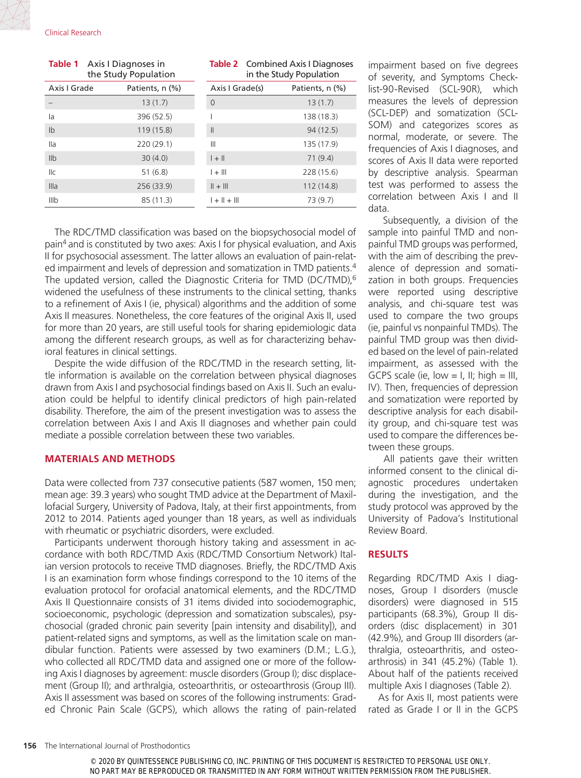|                 |  | <b>Table 1</b> Axis I Diagnoses in<br>the Study Population |                 | <b>Table 2</b> Combined Axis I Diagnoses<br>in the Study Population |  |
|-----------------|--|------------------------------------------------------------|-----------------|---------------------------------------------------------------------|--|
| Axis I Grade    |  | Patients, n (%)                                            | Axis I Grade(s) | Patients, n (%)                                                     |  |
|                 |  | 13(1.7)                                                    | $\Omega$        | 13(1.7)                                                             |  |
| la              |  | 396 (52.5)                                                 |                 | 138 (18.3)                                                          |  |
| $\mathsf{lb}$   |  | 119 (15.8)                                                 | $\mathsf{I}$    | 94 (12.5)                                                           |  |
| lla             |  | 220 (29.1)                                                 | Ш               | 135 (17.9)                                                          |  |
| I <sub>II</sub> |  | 30(4.0)                                                    | $ + $           | 71(9.4)                                                             |  |
| llc             |  | 51(6.8)                                                    | $+$ III         | 228 (15.6)                                                          |  |
| Illa            |  | 256 (33.9)                                                 | $   +    $      | 112 (14.8)                                                          |  |
| IIIb            |  | 85(11.3)                                                   | $1 + 11 + 111$  | 73 (9.7)                                                            |  |

The RDC/TMD classification was based on the biopsychosocial model of pain4 and is constituted by two axes: Axis I for physical evaluation, and Axis II for psychosocial assessment. The latter allows an evaluation of pain-related impairment and levels of depression and somatization in TMD patients.<sup>4</sup> The updated version, called the Diagnostic Criteria for TMD (DC/TMD),<sup>6</sup> widened the usefulness of these instruments to the clinical setting, thanks to a refinement of Axis I (ie, physical) algorithms and the addition of some Axis II measures. Nonetheless, the core features of the original Axis II, used for more than 20 years, are still useful tools for sharing epidemiologic data among the different research groups, as well as for characterizing behavioral features in clinical settings.

Despite the wide diffusion of the RDC/TMD in the research setting, little information is available on the correlation between physical diagnoses drawn from Axis I and psychosocial findings based on Axis II. Such an evaluation could be helpful to identify clinical predictors of high pain-related disability. Therefore, the aim of the present investigation was to assess the correlation between Axis I and Axis II diagnoses and whether pain could mediate a possible correlation between these two variables.

# **MATERIALS AND METHODS**

Data were collected from 737 consecutive patients (587 women, 150 men; mean age: 39.3 years) who sought TMD advice at the Department of Maxillofacial Surgery, University of Padova, Italy, at their first appointments, from 2012 to 2014. Patients aged younger than 18 years, as well as individuals with rheumatic or psychiatric disorders, were excluded.

Participants underwent thorough history taking and assessment in accordance with both RDC/TMD Axis (RDC/TMD Consortium Network) Italian version protocols to receive TMD diagnoses. Briefly, the RDC/TMD Axis I is an examination form whose findings correspond to the 10 items of the evaluation protocol for orofacial anatomical elements, and the RDC/TMD Axis II Questionnaire consists of 31 items divided into sociodemographic, socioeconomic, psychologic (depression and somatization subscales), psychosocial (graded chronic pain severity [pain intensity and disability]), and patient-related signs and symptoms, as well as the limitation scale on mandibular function. Patients were assessed by two examiners (D.M.; L.G.), who collected all RDC/TMD data and assigned one or more of the following Axis I diagnoses by agreement: muscle disorders (Group I); disc displacement (Group II); and arthralgia, osteoarthritis, or osteoarthrosis (Group III). Axis II assessment was based on scores of the following instruments: Graded Chronic Pain Scale (GCPS), which allows the rating of pain-related impairment based on five degrees of severity, and Symptoms Checklist-90-Revised (SCL-90R), which measures the levels of depression (SCL-DEP) and somatization (SCL-SOM) and categorizes scores as normal, moderate, or severe. The frequencies of Axis I diagnoses, and scores of Axis II data were reported by descriptive analysis. Spearman test was performed to assess the correlation between Axis I and II data.

 Subsequently, a division of the sample into painful TMD and nonpainful TMD groups was performed, with the aim of describing the prevalence of depression and somatization in both groups. Frequencies were reported using descriptive analysis, and chi-square test was used to compare the two groups (ie, painful vs nonpainful TMDs). The painful TMD group was then divided based on the level of pain-related impairment, as assessed with the GCPS scale (ie, low  $=$  I, II; high  $=$  III, IV). Then, frequencies of depression and somatization were reported by descriptive analysis for each disability group, and chi-square test was used to compare the differences between these groups.

 All patients gave their written informed consent to the clinical diagnostic procedures undertaken during the investigation, and the study protocol was approved by the University of Padova's Institutional Review Board.

# **RESULTS**

Regarding RDC/TMD Axis I diagnoses, Group I disorders (muscle disorders) were diagnosed in 515 participants (68.3%), Group II disorders (disc displacement) in 301 (42.9%), and Group III disorders (arthralgia, osteoarthritis, and osteoarthrosis) in 341 (45.2%) (Table 1). About half of the patients received multiple Axis I diagnoses (Table 2).

As for Axis II, most patients were rated as Grade I or II in the GCPS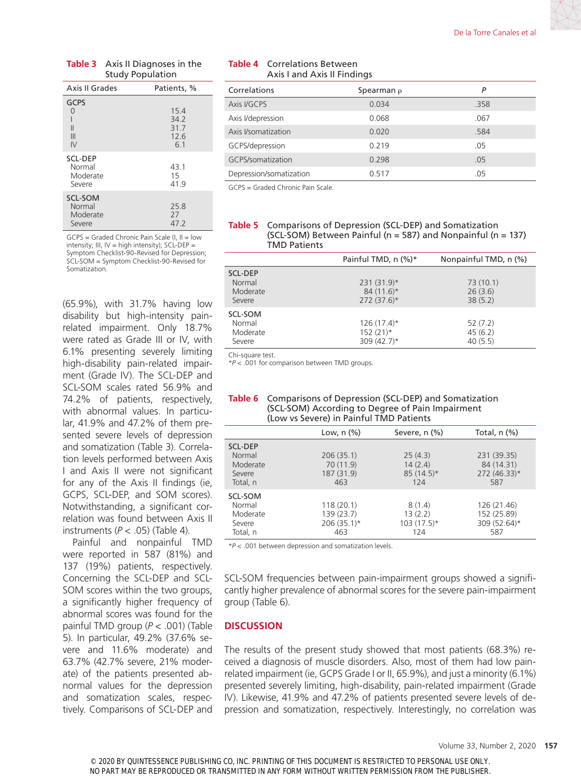#### **Table 3** Axis II Diagnoses in the Study Population

| Axis II Grades                                 | Patients, %                         |  |
|------------------------------------------------|-------------------------------------|--|
| <b>GCPS</b><br>Ω<br>$\mathsf{II}$<br>Ш<br>IV   | 15.4<br>34.2<br>31.7<br>12.6<br>6.1 |  |
| <b>SCL-DEP</b><br>Normal<br>Moderate<br>Severe | 43.1<br>15<br>41.9                  |  |
| SCL-SOM<br>Normal<br>Moderate<br>Severe        | 25.8<br>27<br>47.2                  |  |

GCPS = Graded Chronic Pain Scale (I, II = low intensity; III,  $IV = high$  intensity);  $SCL-DEP =$ Symptom Checklist-90-Revised for Depression; SCL-SOM = Symptom Checklist-90-Revised for Somatization.

(65.9%), with 31.7% having low disability but high-intensity painrelated impairment. Only 18.7% were rated as Grade III or IV, with 6.1% presenting severely limiting high-disability pain-related impairment (Grade IV). The SCL-DEP and SCL-SOM scales rated 56.9% and 74.2% of patients, respectively, with abnormal values. In particular, 41.9% and 47.2% of them presented severe levels of depression and somatization (Table 3). Correlation levels performed between Axis I and Axis II were not significant for any of the Axis II findings (ie, GCPS, SCL-DEP, and SOM scores). Notwithstanding, a significant correlation was found between Axis II instruments  $(P < .05)$  (Table 4).

Painful and nonpainful TMD were reported in 587 (81%) and 137 (19%) patients, respectively. Concerning the SCL-DEP and SCL-SOM scores within the two groups, a significantly higher frequency of abnormal scores was found for the painful TMD group (*P* < .001) (Table 5). In particular, 49.2% (37.6% severe and 11.6% moderate) and 63.7% (42.7% severe, 21% moderate) of the patients presented abnormal values for the depression and somatization scales, respectively. Comparisons of SCL-DEP and

#### **Table 4** Correlations Between Axis I and Axis II Findings

| Correlations            | Spearman $\rho$ | P    |
|-------------------------|-----------------|------|
| Axis I/GCPS             | 0.034           | .358 |
| Axis I/depression       | 0.068           | .067 |
| Axis I/somatization     | 0.020           | .584 |
| GCPS/depression         | 0.219           | .05  |
| GCPS/somatization       | 0.298           | .05  |
| Depression/somatization | 0.517           | .05  |

GCPS = Graded Chronic Pain Scale.

## **Table 5** Comparisons of Depression (SCL-DEP) and Somatization  $(SCL-5OM)$  Between Painful (n = 587) and Nonpainful (n = 137) TMD Patients

|                                         | Painful TMD, n (%)*                           | Nonpainful TMD, n (%)          |
|-----------------------------------------|-----------------------------------------------|--------------------------------|
| SCL-DEP<br>Normal<br>Moderate<br>Severe | $231(31.9)*$<br>$84(11.6)$ *<br>$272(37.6)*$  | 73(10.1)<br>26(3.6)<br>38(5.2) |
| SCL-SOM<br>Normal<br>Moderate<br>Severe | $126(17.4)$ *<br>$152(21)$ *<br>$309(42.7)$ * | 52(7.2)<br>45(6.2)<br>40(5.5)  |

Chi-square test.

\**P* < .001 for comparison between TMD groups.

#### **Table 6** Comparisons of Depression (SCL-DEP) and Somatization (SCL-SOM) According to Degree of Pain Impairment (Low vs Severe) in Painful TMD Patients

|                                                            | Low, $n$ $(\%)$                                 | Severe, n (%)                             | Total, $n$ $(\%)$                                 |
|------------------------------------------------------------|-------------------------------------------------|-------------------------------------------|---------------------------------------------------|
| <b>SCL-DEP</b><br>Normal<br>Moderate<br>Severe<br>Total, n | 206(35.1)<br>70(11.9)<br>187 (31.9)<br>463      | 25(4.3)<br>14(2.4)<br>$85(14.5)^*$<br>124 | 231 (39.35)<br>84 (14.31)<br>272 (46.33)*<br>587  |
| SCL-SOM<br>Normal<br>Moderate<br>Severe<br>Total, n        | 118 (20.1)<br>139 (23.7)<br>$206(35.1)*$<br>463 | 8(1.4)<br>13(2.2)<br>$103(17.5)*$<br>124  | 126 (21.46)<br>152 (25.89)<br>309 (52.64)*<br>587 |

\**P* < .001 between depression and somatization levels.

SCL-SOM frequencies between pain-impairment groups showed a significantly higher prevalence of abnormal scores for the severe pain-impairment group (Table 6).

## **DISCUSSION**

The results of the present study showed that most patients (68.3%) received a diagnosis of muscle disorders. Also, most of them had low painrelated impairment (ie, GCPS Grade I or II, 65.9%), and just a minority (6.1%) presented severely limiting, high-disability, pain-related impairment (Grade IV). Likewise, 41.9% and 47.2% of patients presented severe levels of depression and somatization, respectively. Interestingly, no correlation was

© 2020 BY QUINTESSENCE PUBLISHING CO, INC. PRINTING OF THIS DOCUMENT IS RESTRICTED TO PERSONAL USE ONLY. NO PART MAY BE REPRODUCED OR TRANSMITTED IN ANY FORM WITHOUT WRITTEN PERMISSION FROM THE PUBLISHER.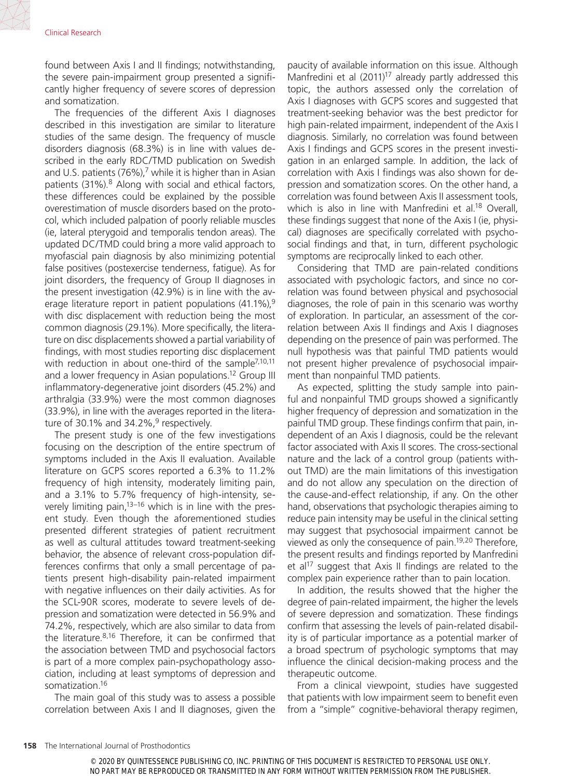found between Axis I and II findings; notwithstanding, the severe pain-impairment group presented a significantly higher frequency of severe scores of depression and somatization.

The frequencies of the different Axis I diagnoses described in this investigation are similar to literature studies of the same design. The frequency of muscle disorders diagnosis (68.3%) is in line with values described in the early RDC/TMD publication on Swedish and U.S. patients  $(76%)$ ,<sup>7</sup> while it is higher than in Asian patients  $(31\%)$ .<sup>8</sup> Along with social and ethical factors, these differences could be explained by the possible overestimation of muscle disorders based on the protocol, which included palpation of poorly reliable muscles (ie, lateral pterygoid and temporalis tendon areas). The updated DC/TMD could bring a more valid approach to myofascial pain diagnosis by also minimizing potential false positives (postexercise tenderness, fatigue). As for joint disorders, the frequency of Group II diagnoses in the present investigation (42.9%) is in line with the average literature report in patient populations  $(41.1\%)$ ,<sup>9</sup> with disc displacement with reduction being the most common diagnosis (29.1%). More specifically, the literature on disc displacements showed a partial variability of findings, with most studies reporting disc displacement with reduction in about one-third of the sample $7,10,11$ and a lower frequency in Asian populations.<sup>12</sup> Group III inflammatory-degenerative joint disorders (45.2%) and arthralgia (33.9%) were the most common diagnoses (33.9%), in line with the averages reported in the literature of 30.1% and 34.2%, $9$  respectively.

The present study is one of the few investigations focusing on the description of the entire spectrum of symptoms included in the Axis II evaluation. Available literature on GCPS scores reported a 6.3% to 11.2% frequency of high intensity, moderately limiting pain, and a 3.1% to 5.7% frequency of high-intensity, severely limiting pain,<sup>13–16</sup> which is in line with the present study. Even though the aforementioned studies presented different strategies of patient recruitment as well as cultural attitudes toward treatment-seeking behavior, the absence of relevant cross-population differences confirms that only a small percentage of patients present high-disability pain-related impairment with negative influences on their daily activities. As for the SCL-90R scores, moderate to severe levels of depression and somatization were detected in 56.9% and 74.2%, respectively, which are also similar to data from the literature.8,16 Therefore, it can be confirmed that the association between TMD and psychosocial factors is part of a more complex pain-psychopathology association, including at least symptoms of depression and somatization.16

The main goal of this study was to assess a possible correlation between Axis I and II diagnoses, given the paucity of available information on this issue. Although Manfredini et al  $(2011)^{17}$  already partly addressed this topic, the authors assessed only the correlation of Axis I diagnoses with GCPS scores and suggested that treatment-seeking behavior was the best predictor for high pain-related impairment, independent of the Axis I diagnosis. Similarly, no correlation was found between Axis I findings and GCPS scores in the present investigation in an enlarged sample. In addition, the lack of correlation with Axis I findings was also shown for depression and somatization scores. On the other hand, a correlation was found between Axis II assessment tools, which is also in line with Manfredini et al.<sup>18</sup> Overall, these findings suggest that none of the Axis I (ie, physical) diagnoses are specifically correlated with psychosocial findings and that, in turn, different psychologic symptoms are reciprocally linked to each other.

Considering that TMD are pain-related conditions associated with psychologic factors, and since no correlation was found between physical and psychosocial diagnoses, the role of pain in this scenario was worthy of exploration. In particular, an assessment of the correlation between Axis II findings and Axis I diagnoses depending on the presence of pain was performed. The null hypothesis was that painful TMD patients would not present higher prevalence of psychosocial impairment than nonpainful TMD patients.

As expected, splitting the study sample into painful and nonpainful TMD groups showed a significantly higher frequency of depression and somatization in the painful TMD group. These findings confirm that pain, independent of an Axis I diagnosis, could be the relevant factor associated with Axis II scores. The cross-sectional nature and the lack of a control group (patients without TMD) are the main limitations of this investigation and do not allow any speculation on the direction of the cause-and-effect relationship, if any. On the other hand, observations that psychologic therapies aiming to reduce pain intensity may be useful in the clinical setting may suggest that psychosocial impairment cannot be viewed as only the consequence of pain.19,20 Therefore, the present results and findings reported by Manfredini et al<sup>17</sup> suggest that Axis II findings are related to the complex pain experience rather than to pain location.

In addition, the results showed that the higher the degree of pain-related impairment, the higher the levels of severe depression and somatization. These findings confirm that assessing the levels of pain-related disability is of particular importance as a potential marker of a broad spectrum of psychologic symptoms that may influence the clinical decision-making process and the therapeutic outcome.

From a clinical viewpoint, studies have suggested that patients with low impairment seem to benefit even from a "simple" cognitive-behavioral therapy regimen,